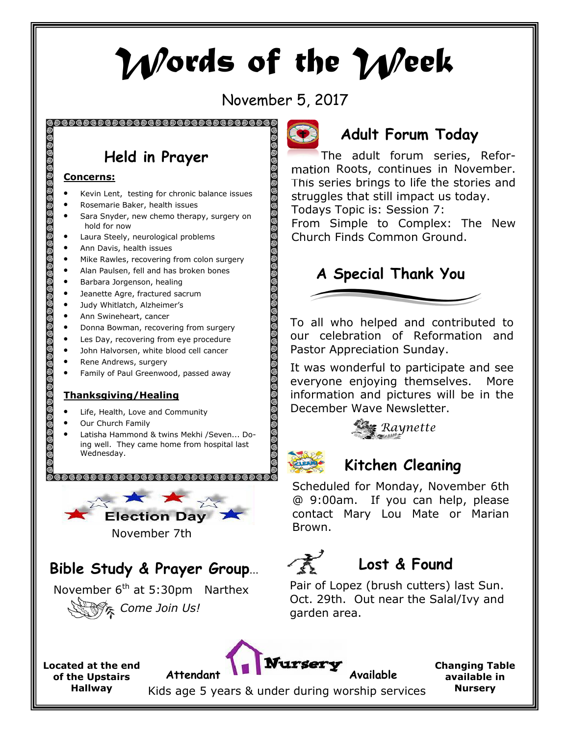# Words of the Week

November 5, 2017

. @ @ @ @ @ @ @ @ @ @

<u>මෙමෙමෙ</u>  $0$  © © © © © © © © © ©  $\odot$ Ī

# Held in Prayer

#### Concerns:

- Kevin Lent, testing for chronic balance issues
- Rosemarie Baker, health issues
- Sara Snyder, new chemo therapy, surgery on hold for now
- Laura Steely, neurological problems
- Ann Davis, health issues
- Mike Rawles, recovering from colon surgery
- Alan Paulsen, fell and has broken bones
- Barbara Jorgenson, healing
- Jeanette Agre, fractured sacrum
- Judy Whitlatch, Alzheimer's
- Ann Swineheart, cancer
- Donna Bowman, recovering from surgery
- Les Day, recovering from eye procedure
- John Halvorsen, white blood cell cancer
- Rene Andrews, surgery
- Family of Paul Greenwood, passed away

#### Thanksgiving/Healing

- Life, Health, Love and Community
- Our Church Family
- Latisha Hammond & twins Mekhi /Seven... Doing well. They came home from hospital last Wednesday.



November 7th

## Bible Study & Prayer Group…

November  $6<sup>th</sup>$  at 5:30pm Narthex Come Join Us!



### Adult Forum Today

The adult forum series, Reformation Roots, continues in November. This series brings to life the stories and struggles that still impact us today. Todays Topic is: Session 7:

From Simple to Complex: The New Church Finds Common Ground.



To all who helped and contributed to our celebration of Reformation and Pastor Appreciation Sunday.

It was wonderful to participate and see everyone enjoying themselves. More information and pictures will be in the December Wave Newsletter.





#### Kitchen Cleaning

Scheduled for Monday, November 6th @ 9:00am. If you can help, please contact Mary Lou Mate or Marian Brown.

# Lost & Found

Pair of Lopez (brush cutters) last Sun. Oct. 29th. Out near the Salal/Ivy and garden area.

Located at the end of the Upstairs Hallway

Attendant **Available** 

Kids age 5 years & under during worship services

Changing Table available in Nursery